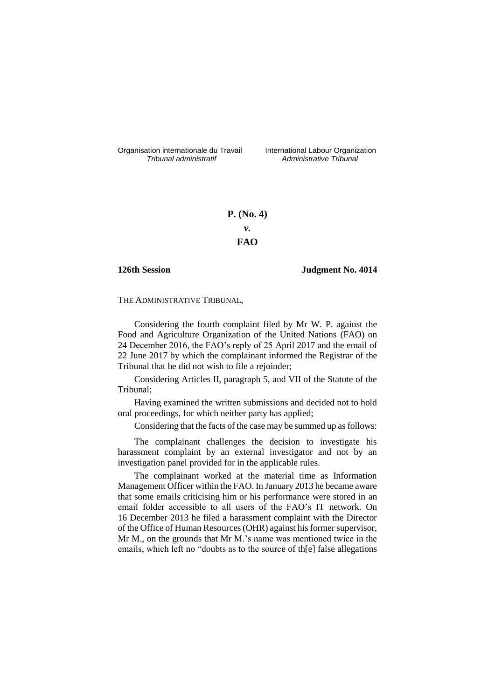Organisation internationale du Travail liternational Labour Organization<br> *Tribunal administratif Administrative Tribunal* 

*Tribunal administratif Administrative Tribunal*

# **P. (No. 4)** *v.* **FAO**

# **126th Session Judgment No. 4014**

THE ADMINISTRATIVE TRIBUNAL,

Considering the fourth complaint filed by Mr W. P. against the Food and Agriculture Organization of the United Nations (FAO) on 24 December 2016, the FAO's reply of 25 April 2017 and the email of 22 June 2017 by which the complainant informed the Registrar of the Tribunal that he did not wish to file a rejoinder;

Considering Articles II, paragraph 5, and VII of the Statute of the Tribunal;

Having examined the written submissions and decided not to hold oral proceedings, for which neither party has applied;

Considering that the facts of the case may be summed up as follows:

The complainant challenges the decision to investigate his harassment complaint by an external investigator and not by an investigation panel provided for in the applicable rules.

The complainant worked at the material time as Information Management Officer within the FAO. In January 2013 he became aware that some emails criticising him or his performance were stored in an email folder accessible to all users of the FAO's IT network. On 16 December 2013 he filed a harassment complaint with the Director of the Office of Human Resources (OHR) against his former supervisor, Mr M., on the grounds that Mr M.'s name was mentioned twice in the emails, which left no "doubts as to the source of th[e] false allegations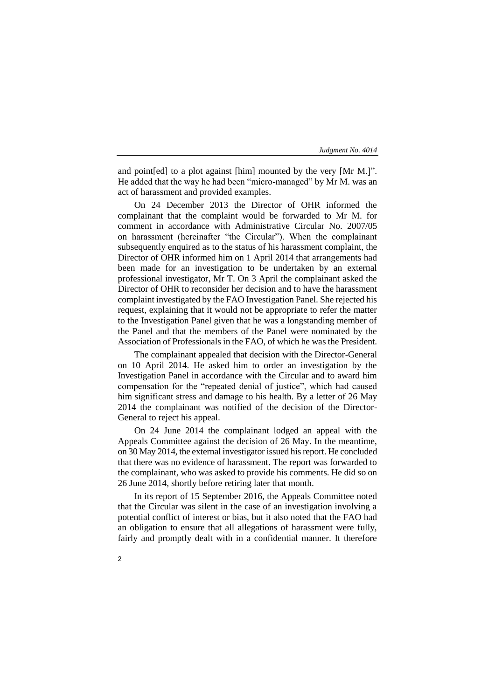and point[ed] to a plot against [him] mounted by the very [Mr M.]". He added that the way he had been "micro-managed" by Mr M. was an act of harassment and provided examples.

On 24 December 2013 the Director of OHR informed the complainant that the complaint would be forwarded to Mr M. for comment in accordance with Administrative Circular No. 2007/05 on harassment (hereinafter "the Circular"). When the complainant subsequently enquired as to the status of his harassment complaint, the Director of OHR informed him on 1 April 2014 that arrangements had been made for an investigation to be undertaken by an external professional investigator, Mr T. On 3 April the complainant asked the Director of OHR to reconsider her decision and to have the harassment complaint investigated by the FAO Investigation Panel. She rejected his request, explaining that it would not be appropriate to refer the matter to the Investigation Panel given that he was a longstanding member of the Panel and that the members of the Panel were nominated by the Association of Professionals in the FAO, of which he was the President.

The complainant appealed that decision with the Director-General on 10 April 2014. He asked him to order an investigation by the Investigation Panel in accordance with the Circular and to award him compensation for the "repeated denial of justice", which had caused him significant stress and damage to his health. By a letter of 26 May 2014 the complainant was notified of the decision of the Director-General to reject his appeal.

On 24 June 2014 the complainant lodged an appeal with the Appeals Committee against the decision of 26 May. In the meantime, on 30 May 2014, the external investigator issued his report. He concluded that there was no evidence of harassment. The report was forwarded to the complainant, who was asked to provide his comments. He did so on 26 June 2014, shortly before retiring later that month.

In its report of 15 September 2016, the Appeals Committee noted that the Circular was silent in the case of an investigation involving a potential conflict of interest or bias, but it also noted that the FAO had an obligation to ensure that all allegations of harassment were fully, fairly and promptly dealt with in a confidential manner. It therefore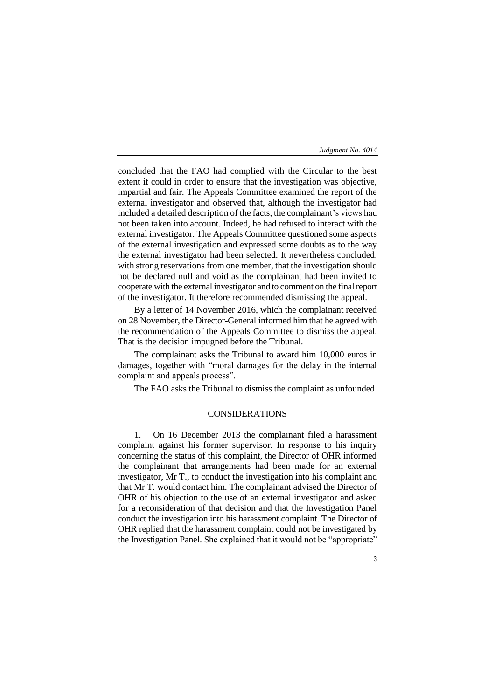concluded that the FAO had complied with the Circular to the best extent it could in order to ensure that the investigation was objective, impartial and fair. The Appeals Committee examined the report of the external investigator and observed that, although the investigator had included a detailed description of the facts, the complainant's views had not been taken into account. Indeed, he had refused to interact with the external investigator. The Appeals Committee questioned some aspects of the external investigation and expressed some doubts as to the way the external investigator had been selected. It nevertheless concluded, with strong reservations from one member, that the investigation should not be declared null and void as the complainant had been invited to cooperate with the external investigator and to comment on the final report of the investigator. It therefore recommended dismissing the appeal.

By a letter of 14 November 2016, which the complainant received on 28 November, the Director-General informed him that he agreed with the recommendation of the Appeals Committee to dismiss the appeal. That is the decision impugned before the Tribunal.

The complainant asks the Tribunal to award him 10,000 euros in damages, together with "moral damages for the delay in the internal complaint and appeals process".

The FAO asks the Tribunal to dismiss the complaint as unfounded.

# CONSIDERATIONS

1. On 16 December 2013 the complainant filed a harassment complaint against his former supervisor. In response to his inquiry concerning the status of this complaint, the Director of OHR informed the complainant that arrangements had been made for an external investigator, Mr T., to conduct the investigation into his complaint and that Mr T. would contact him. The complainant advised the Director of OHR of his objection to the use of an external investigator and asked for a reconsideration of that decision and that the Investigation Panel conduct the investigation into his harassment complaint. The Director of OHR replied that the harassment complaint could not be investigated by the Investigation Panel. She explained that it would not be "appropriate"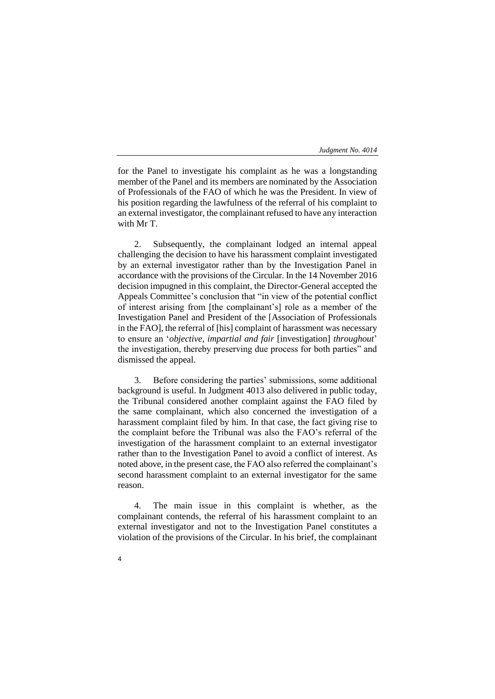for the Panel to investigate his complaint as he was a longstanding member of the Panel and its members are nominated by the Association of Professionals of the FAO of which he was the President. In view of his position regarding the lawfulness of the referral of his complaint to an external investigator, the complainant refused to have any interaction with Mr T.

2. Subsequently, the complainant lodged an internal appeal challenging the decision to have his harassment complaint investigated by an external investigator rather than by the Investigation Panel in accordance with the provisions of the Circular. In the 14 November 2016 decision impugned in this complaint, the Director-General accepted the Appeals Committee's conclusion that "in view of the potential conflict of interest arising from [the complainant's] role as a member of the Investigation Panel and President of the [Association of Professionals in the FAO], the referral of [his] complaint of harassment was necessary to ensure an '*objective, impartial and fair* [investigation] *throughout*' the investigation, thereby preserving due process for both parties" and dismissed the appeal.

3. Before considering the parties' submissions, some additional background is useful. In Judgment 4013 also delivered in public today, the Tribunal considered another complaint against the FAO filed by the same complainant, which also concerned the investigation of a harassment complaint filed by him. In that case, the fact giving rise to the complaint before the Tribunal was also the FAO's referral of the investigation of the harassment complaint to an external investigator rather than to the Investigation Panel to avoid a conflict of interest. As noted above, in the present case, the FAO also referred the complainant's second harassment complaint to an external investigator for the same reason.

4. The main issue in this complaint is whether, as the complainant contends, the referral of his harassment complaint to an external investigator and not to the Investigation Panel constitutes a violation of the provisions of the Circular. In his brief, the complainant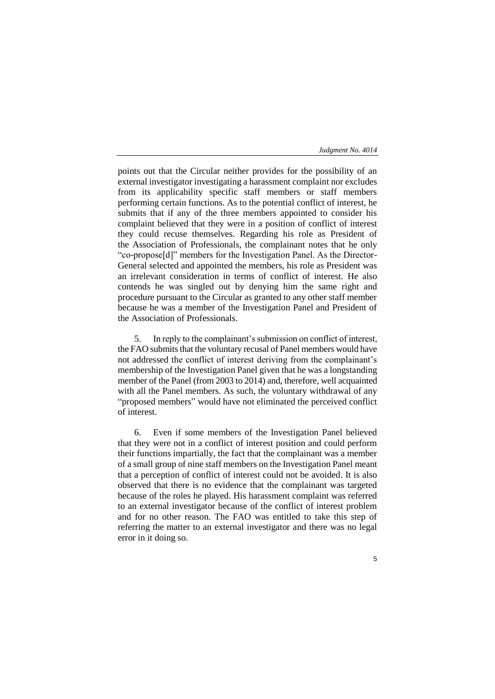5

points out that the Circular neither provides for the possibility of an external investigator investigating a harassment complaint nor excludes from its applicability specific staff members or staff members performing certain functions. As to the potential conflict of interest, he submits that if any of the three members appointed to consider his complaint believed that they were in a position of conflict of interest they could recuse themselves. Regarding his role as President of the Association of Professionals, the complainant notes that he only "co-propose[d]" members for the Investigation Panel. As the Director-General selected and appointed the members, his role as President was an irrelevant consideration in terms of conflict of interest. He also contends he was singled out by denying him the same right and procedure pursuant to the Circular as granted to any other staff member because he was a member of the Investigation Panel and President of the Association of Professionals.

5. In reply to the complainant's submission on conflict of interest, the FAO submits that the voluntary recusal of Panel members would have not addressed the conflict of interest deriving from the complainant's membership of the Investigation Panel given that he was a longstanding member of the Panel (from 2003 to 2014) and, therefore, well acquainted with all the Panel members. As such, the voluntary withdrawal of any "proposed members" would have not eliminated the perceived conflict of interest.

6. Even if some members of the Investigation Panel believed that they were not in a conflict of interest position and could perform their functions impartially, the fact that the complainant was a member of a small group of nine staff members on the Investigation Panel meant that a perception of conflict of interest could not be avoided. It is also observed that there is no evidence that the complainant was targeted because of the roles he played. His harassment complaint was referred to an external investigator because of the conflict of interest problem and for no other reason. The FAO was entitled to take this step of referring the matter to an external investigator and there was no legal error in it doing so.